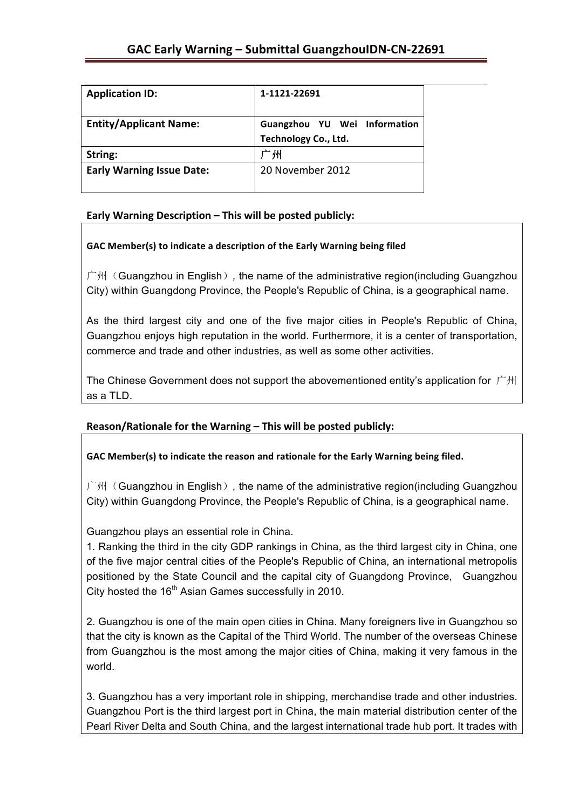| <b>Application ID:</b>           | 1-1121-22691                 |
|----------------------------------|------------------------------|
| <b>Entity/Applicant Name:</b>    | Guangzhou YU Wei Information |
|                                  | Technology Co., Ltd.         |
| String:                          | 州                            |
| <b>Early Warning Issue Date:</b> | 20 November 2012             |
|                                  |                              |

## Early Warning Description - This will be posted publicly:

## GAC Member(s) to indicate a description of the Early Warning being filed

广州(Guangzhou in English)*,* the name of the administrative region(including Guangzhou City) within Guangdong Province, the People's Republic of China, is a geographical name.

As the third largest city and one of the five major cities in People's Republic of China, Guangzhou enjoys high reputation in the world. Furthermore, it is a center of transportation, commerce and trade and other industries, as well as some other activities.

The Chinese Government does not support the abovementioned entity's application for 广州 as a TLD.

## **Reason/Rationale for the Warning – This will be posted publicly:**

## GAC Member(s) to indicate the reason and rationale for the Early Warning being filed.

广州(Guangzhou in English)*,* the name of the administrative region(including Guangzhou City) within Guangdong Province, the People's Republic of China, is a geographical name.

Guangzhou plays an essential role in China.

1. Ranking the third in the city GDP rankings in China, as the third largest city in China, one of the five major central cities of the People's Republic of China, an international metropolis positioned by the State Council and the capital city of Guangdong Province, Guangzhou City hosted the  $16<sup>th</sup>$  Asian Games successfully in 2010.

2. Guangzhou is one of the main open cities in China. Many foreigners live in Guangzhou so that the city is known as the Capital of the Third World. The number of the overseas Chinese from Guangzhou is the most among the major cities of China, making it very famous in the world.

3. Guangzhou has a very important role in shipping, merchandise trade and other industries. Guangzhou Port is the third largest port in China, the main material distribution center of the Pearl River Delta and South China, and the largest international trade hub port. It trades with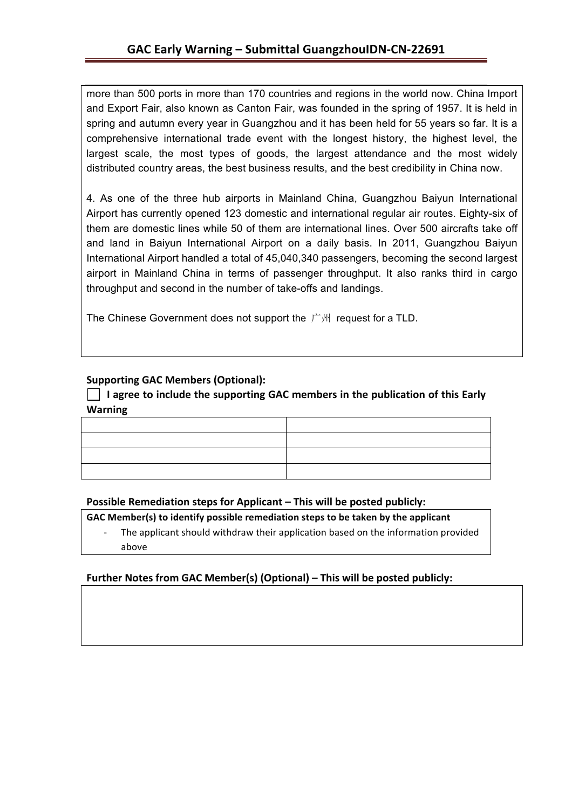more than 500 ports in more than 170 countries and regions in the world now. China Import and Export Fair, also known as Canton Fair, was founded in the spring of 1957. It is held in spring and autumn every year in Guangzhou and it has been held for 55 years so far. It is a comprehensive international trade event with the longest history, the highest level, the largest scale, the most types of goods, the largest attendance and the most widely distributed country areas, the best business results, and the best credibility in China now.

4. As one of the three hub airports in Mainland China, Guangzhou Baiyun International Airport has currently opened 123 domestic and international regular air routes. Eighty-six of them are domestic lines while 50 of them are international lines. Over 500 aircrafts take off and land in Baiyun International Airport on a daily basis. In 2011, Guangzhou Baiyun International Airport handled a total of 45,040,340 passengers, becoming the second largest airport in Mainland China in terms of passenger throughput. It also ranks third in cargo throughput and second in the number of take-offs and landings.

The Chinese Government does not support the 广州 request for a TLD.

## **Supporting GAC Members (Optional):**

I agree to include the supporting GAC members in the publication of this Early **Warning**

#### **Possible Remediation steps for Applicant – This will be posted publicly:**

GAC Member(s) to identify possible remediation steps to be taken by the applicant

The applicant should withdraw their application based on the information provided above

## Further Notes from GAC Member(s) (Optional) – This will be posted publicly: